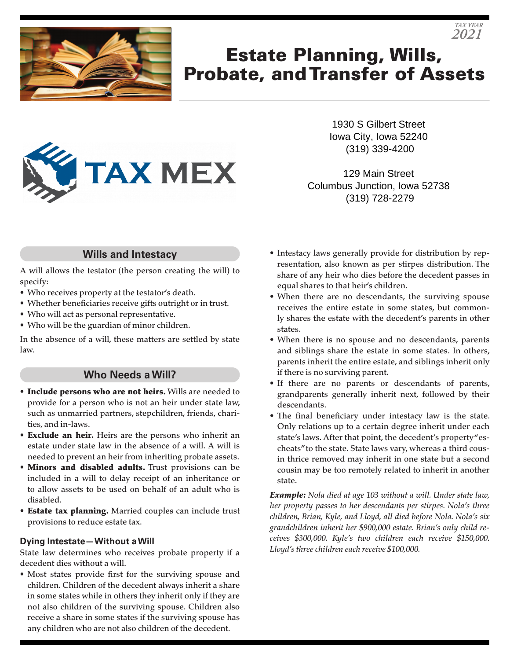

# Estate Planning, Wills, Probate, and Transfer of Assets



1930 S Gilbert Street Iowa City, Iowa 52240 (319) 339-4200

*TAX YEAR 2021*

129 Main Street Columbus Junction, Iowa 52738 (319) 728-2279

## **Wills and Intestacy**

A will allows the testator (the person creating the will) to specify:

- Who receives property at the testator's death.
- Whether beneficiaries receive gifts outright or in trust.
- Who will act as personal representative.
- Who will be the guardian of minor children.

In the absence of a will, these matters are settled by state law.

### **Who Needs a Will?**

- Include persons who are not heirs. Wills are needed to provide for a person who is not an heir under state law, such as unmarried partners, stepchildren, friends, charities, and in-laws.
- Exclude an heir. Heirs are the persons who inherit an estate under state law in the absence of a will. A will is needed to prevent an heir from inheriting probate assets.
- Minors and disabled adults. Trust provisions can be included in a will to delay receipt of an inheritance or to allow assets to be used on behalf of an adult who is disabled.
- Estate tax planning. Married couples can include trust provisions to reduce estate tax.

#### **Dying Intestate—Without a Will**

State law determines who receives probate property if a decedent dies without a will.

• Most states provide first for the surviving spouse and children. Children of the decedent always inherit a share in some states while in others they inherit only if they are not also children of the surviving spouse. Children also receive a share in some states if the surviving spouse has any children who are not also children of the decedent.

- Intestacy laws generally provide for distribution by representation, also known as per stirpes distribution. The share of any heir who dies before the decedent passes in equal shares to that heir's children.
- When there are no descendants, the surviving spouse receives the entire estate in some states, but commonly shares the estate with the decedent's parents in other states.
- When there is no spouse and no descendants, parents and siblings share the estate in some states. In others, parents inherit the entire estate, and siblings inherit only if there is no surviving parent.
- If there are no parents or descendants of parents, grandparents generally inherit next, followed by their descendants.
- The final beneficiary under intestacy law is the state. Only relations up to a certain degree inherit under each state's laws. After that point, the decedent's property"escheats" to the state. State laws vary, whereas a third cousin thrice removed may inherit in one state but a second cousin may be too remotely related to inherit in another state.

*Example: Nola died at age 103 without a will. Under state law, her property passes to her descendants per stirpes. Nola's three children, Brian, Kyle, and Lloyd, all died before Nola. Nola's six grandchildren inherit her \$900,000 estate. Brian's only child receives \$300,000. Kyle's two children each receive \$150,000. Lloyd's three children each receive \$100,000.*